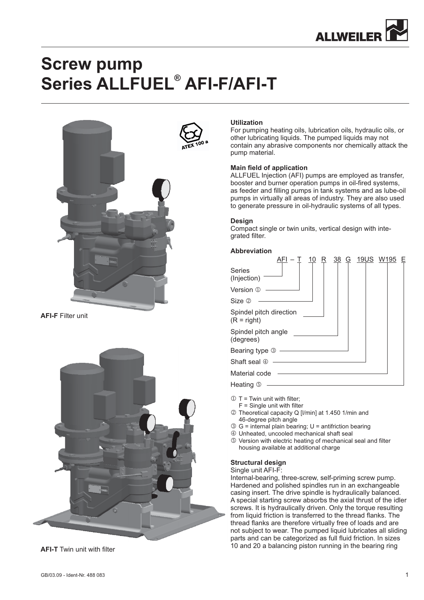

# **Screw pump Series ALLFUEL<sup>®</sup> AFI-F/AFI-T**



**AFI-F** Filter unit





## **Utilization**

For pumping heating oils, lubrication oils, hydraulic oils, or other lubricating liquids. The pumped liquids may not contain any abrasive components nor chemically attack the pump material.

## **Main field of application**

ALLFUEL Injection (AFI) pumps are employed as transfer, booster and burner operation pumps in oil-fired systems, as feeder and filling pumps in tank systems and as lube-oil pumps in virtually all areas of industry. They are also used to generate pressure in oil-hydraulic systems of all types.

#### **Design**

Compact single or twin units, vertical design with integrated filter.

#### **Abbreviation**

|                                          | R | 38 | G | <u>19US W195</u> | E |
|------------------------------------------|---|----|---|------------------|---|
| <b>Series</b><br>(Injection)             |   |    |   |                  |   |
| Version ①                                |   |    |   |                  |   |
| Size @                                   |   |    |   |                  |   |
| Spindel pitch direction<br>$(R = right)$ |   |    |   |                  |   |
| Spindel pitch angle<br>(degrees)         |   |    |   |                  |   |
| Bearing type 3                           |   |    |   |                  |   |
| Shaft seal 4                             |   |    |   |                  |   |
| Material code                            |   |    |   |                  |   |
| Heating <b>5</b>                         |   |    |   |                  |   |

- $\mathbb{O}$  T = Twin unit with filter;
- $F =$  Single unit with filter
- 2 Theoretical capacity Q [I/min] at 1.450 1/min and 46-degree pitch angle
- G = internal plain bearing; U = antifriction bearing
- Unheated, uncooled mechanical shaft seal
- Version with electric heating of mechanical seal and filter housing available at additional charge

#### **Structural design**

#### Single unit AFI-F:

Internal-bearing, three-screw, self-priming screw pump. Hardened and polished spindles run in an exchangeable casing insert. The drive spindle is hydraulically balanced. A special starting screw absorbs the axial thrust of the idler screws. It is hydraulically driven. Only the torque resulting from liquid friction is transferred to the thread flanks. The thread flanks are therefore virtually free of loads and are not subject to wear. The pumped liquid lubricates all sliding parts and can be categorized as full fluid friction. In sizes 10 and 20 a balancing piston running in the bearing ring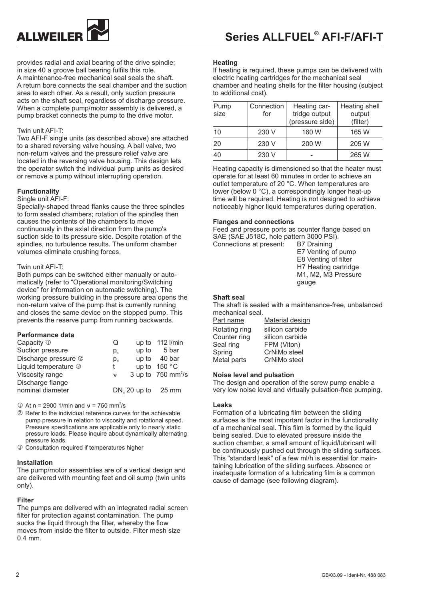

provides radial and axial bearing of the drive spindle; in size 40 a groove ball bearing fulfils this role. A maintenance-free mechanical seal seals the shaft. A return bore connects the seal chamber and the suction area to each other. As a result, only suction pressure acts on the shaft seal, regardless of discharge pressure. When a complete pump/motor assembly is delivered, a pump bracket connects the pump to the drive motor.

#### Twin unit AFI-T:

Two AFI-F single units (as described above) are attached to a shared reversing valve housing. A ball valve, two non-return valves and the pressure relief valve are located in the reversing valve housing. This design lets the operator switch the individual pump units as desired or remove a pump without interrupting operation.

#### **Functionality**

#### Single unit AFI-F:

Specially-shaped thread flanks cause the three spindles to form sealed chambers; rotation of the spindles then causes the contents of the chambers to move continuously in the axial direction from the pump's suction side to its pressure side. Despite rotation of the spindles, no turbulence results. The uniform chamber volumes eliminate crushing forces.

#### Twin unit AFI-T:

Both pumps can be switched either manually or automatically (refer to "Operational monitoring/Switching device" for information on automatic switching). The working pressure building in the pressure area opens the non-return valve of the pump that is currently running and closes the same device on the stopped pump. This prevents the reserve pump from running backwards.

#### **Performance data**

| Capacity 1           | Q           |                      | up to 112 l/min                  |
|----------------------|-------------|----------------------|----------------------------------|
| Suction pressure     | $p_{\circ}$ |                      | up to $5bar$                     |
| Discharge pressure 2 | $p_{\rm d}$ |                      | up to $40 \text{ bar}$           |
| Liquid temperature 3 | t           |                      | up to $150 °C$                   |
| Viscosity range      | ν           |                      | 3 up to $750$ mm <sup>2</sup> /s |
| Discharge flange     |             |                      |                                  |
| nominal diameter     |             | $DNa$ 20 up to 25 mm |                                  |

 $\textcircled{1}$  At n = 2900 1/min and  $v = 750$  mm<sup>2</sup>/s

- 2 Refer to the individual reference curves for the achievable pump pressure in relation to viscosity and rotational speed. Pressure specifications are applicable only to nearly static pressure loads. Please inquire about dynamically alternating pressure loads.
- Consultation required if temperatures higher

#### **Installation**

The pump/motor assemblies are of a vertical design and are delivered with mounting feet and oil sump (twin units only).

#### **Filter**

The pumps are delivered with an integrated radial screen filter for protection against contamination. The pump sucks the liquid through the filter, whereby the flow moves from inside the filter to outside. Filter mesh size 0.4 mm.

#### **Heating**

If heating is required, these pumps can be delivered with electric heating cartridges for the mechanical seal chamber and heating shells for the filter housing (subject to additional cost).

| Pump<br>size | Connection<br>for | Heating car-<br>tridge output<br>(pressure side) | Heating shell<br>output<br>(filter) |
|--------------|-------------------|--------------------------------------------------|-------------------------------------|
| 10           | 230 V             | 160 W                                            | 165 W                               |
| 20           | 230 V             | 200 W                                            | 205 W                               |
| 40           | 230 V             |                                                  | 265 W                               |

Heating capacity is dimensioned so that the heater must operate for at least 60 minutes in order to achieve an outlet temperature of 20 °C. When temperatures are lower (below 0 °C), a correspondingly longer heat-up time will be required. Heating is not designed to achieve noticeably higher liquid temperatures during operation.

#### **Flanges and connections**

Feed and pressure ports as counter flange based on SAE (SAE J518C, hole pattern 3000 PSI). Connections at present: B7 Draining

E7 Venting of pump E8 Venting of filter H7 Heating cartridge M1, M2, M3 Pressure gauge

#### **Shaft seal**

The shaft is sealed with a maintenance-free, unbalanced mechanical seal.

| Part name     | <b>Material design</b> |
|---------------|------------------------|
| Rotating ring | silicon carbide        |
| Counter ring  | silicon carbide        |
| Seal ring     | FPM (Viton)            |
| Spring        | CrNiMo steel           |
| Metal parts   | CrNiMo steel           |

#### **Noise level and pulsation**

The design and operation of the screw pump enable a very low noise level and virtually pulsation-free pumping.

#### **Leaks**

Formation of a lubricating film between the sliding surfaces is the most important factor in the functionality of a mechanical seal. This film is formed by the liquid being sealed. Due to elevated pressure inside the suction chamber, a small amount of liquid/lubricant will be continuously pushed out through the sliding surfaces. This "standard leak" of a few ml/h is essential for maintaining lubrication of the sliding surfaces. Absence or inadequate formation of a lubricating film is a common cause of damage (see following diagram).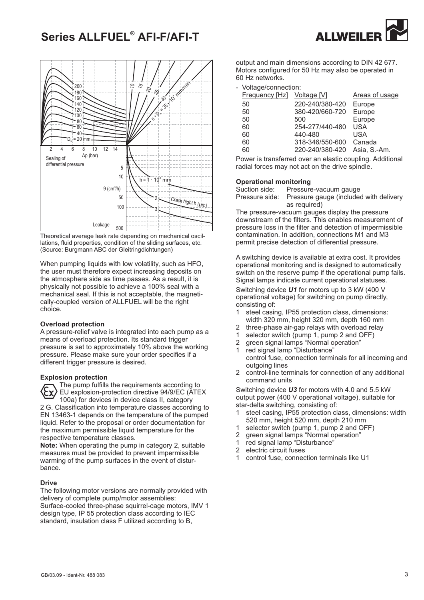

Theoretical average leak rate depending on mechanical oscillations, fluid properties, condition of the sliding surfaces, etc. (Source: Burgmann ABC der Gleitringdichtungen)

When pumping liquids with low volatility, such as HFO. the user must therefore expect increasing deposits on the atmosphere side as time passes. As a result, it is physically not possible to achieve a 100% seal with a mechanical seal. If this is not acceptable, the magnetically-coupled version of ALLFUEL will be the right choice.

## **Overload protection**

A pressure-relief valve is integrated into each pump as a means of overload protection. Its standard trigger pressure is set to approximately 10% above the working pressure. Please make sure your order specifies if a different trigger pressure is desired.

#### **Explosion protection**

The pump fulfills the requirements according to EU explosion-protection directive 94/9/EC (ATEX 100a) for devices in device class II, category 2 G. Classification into temperature classes according to EN 13463-1 depends on the temperature of the pumped liquid. Refer to the proposal or order documentation for the maximum permissible liquid temperature for the respective temperature classes.

Note: When operating the pump in category 2, suitable measures must be provided to prevent impermissible warming of the pump surfaces in the event of disturbance.

## **Drive**

The following motor versions are normally provided with delivery of complete pump/motor assemblies: Surface-cooled three-phase squirrel-cage motors, IMV 1 design type, IP 55 protection class according to IEC standard, insulation class F utilized according to B,

output and main dimensions according to DIN 42 677. Motors configured for 50 Hz may also be operated in 60 Hz networks.

**ALLWEILER** 

- Voltage/connection:

| Frequency [Hz] Voltage [V] |                 | Areas of usage |
|----------------------------|-----------------|----------------|
| 50                         | 220-240/380-420 | Europe         |
| 50                         | 380-420/660-720 | Europe         |
| 50                         | 500             | Europe         |
| 60                         | 254-277/440-480 | <b>USA</b>     |
| 60                         | 440-480         | USA            |
| 60                         | 318-346/550-600 | Canada         |
| 60                         | 220-240/380-420 | Asia, S.-Am.   |

Power is transferred over an elastic coupling. Additional radial forces may not act on the drive spindle.

#### **Operational monitoring**

| Suction side: | Pressure-vacuum gauge                                 |
|---------------|-------------------------------------------------------|
|               | Pressure side: Pressure gauge (included with delivery |
|               | as required)                                          |

The pressure-vacuum gauges display the pressure downstream of the filters. This enables measurement of pressure loss in the filter and detection of impermissible contamination. In addition, connections M1 and M3 permit precise detection of differential pressure.

A switching device is available at extra cost. It provides operational monitoring and is designed to automatically switch on the reserve pump if the operational pump fails. Signal lamps indicate current operational statuses.

Switching device **U1** for motors up to 3 kW (400 V operational voltage) for switching on pump directly, consisting of:

- 1 steel casing, IP55 protection class, dimensions: width 320 mm, height 320 mm, depth 160 mm
- 2 three-phase air-gap relays with overload relay<br>1 selector switch (pump 1 pump 2 and  $OEF$ )
- selector switch (pump 1, pump 2 and OFF)
- 2 green signal lamps "Normal operation" 1 red signal lamp "Disturbance" control fuse, connection terminals for all incoming and
- outgoing lines 2 control-line terminals for connection of any additional
- command units

Switching device **U3** for motors with 4.0 and 5.5 kW output power (400 V operational voltage), suitable for star-delta switching, consisting of:

- 1 steel casing, IP55 protection class, dimensions: width 520 mm, height 520 mm, depth 210 mm
- 1 selector switch (pump 1, pump 2 and OFF)
- 2 green signal lamps "Normal operation"
- 1 red signal lamp "Disturbance"<br>2 electric circuit fuses
- electric circuit fuses
- 1 control fuse, connection terminals like U1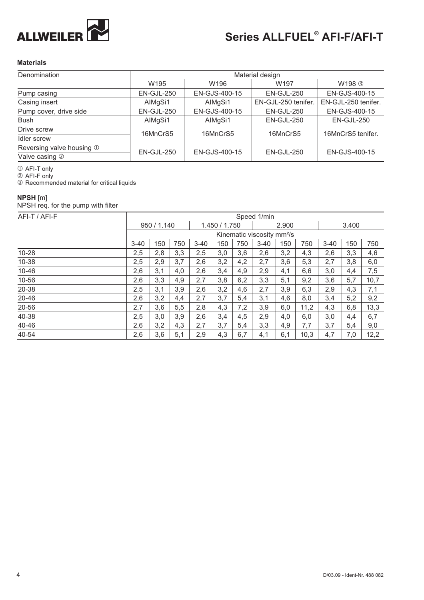

## **Materials**

| Denomination              |                  |               | Material design     |                     |  |  |
|---------------------------|------------------|---------------|---------------------|---------------------|--|--|
|                           | W <sub>195</sub> | W196          | W <sub>197</sub>    | W198 <b>3</b>       |  |  |
| Pump casing               | EN-GJL-250       | EN-GJS-400-15 | EN-GJL-250          | EN-GJS-400-15       |  |  |
| Casing insert             | AlMgSi1          | AlMgSi1       | EN-GJL-250 tenifer. | EN-GJL-250 tenifer. |  |  |
| Pump cover, drive side    | EN-GJL-250       | EN-GJS-400-15 | $EN-GJL-250$        | EN-GJS-400-15       |  |  |
| <b>Bush</b>               | AIMgSi1          | AlMgSi1       | EN-GJL-250          | EN-GJL-250          |  |  |
| Drive screw               | 16MnCrS5         | 16MnCrS5      | 16MnCrS5            | 16MnCrS5 tenifer.   |  |  |
| Idler screw               |                  |               |                     |                     |  |  |
| Reversing valve housing 1 | $EN-GJL-250$     | EN-GJS-400-15 | EN-GJL-250          | EN-GJS-400-15       |  |  |
| Valve casing 2            |                  |               |                     |                     |  |  |

① AFI-T only<br>② AFI-F only

**3** Recommended material for critical liquids

## **NPSH** [m]

NPSH req. for the pump with filter

| AFI-T / AFI-F |          |             |     |          |               |     | Speed 1/min                            |       |      |          |     |      |
|---------------|----------|-------------|-----|----------|---------------|-----|----------------------------------------|-------|------|----------|-----|------|
|               |          | 950 / 1.140 |     |          | 1.450 / 1.750 |     |                                        | 2.900 |      |          |     |      |
|               |          |             |     |          |               |     | Kinematic viscosity mm <sup>2</sup> /s |       |      |          |     |      |
|               | $3 - 40$ | 150         | 750 | $3 - 40$ | 150           | 750 | $3 - 40$                               | 150   | 750  | $3 - 40$ | 150 | 750  |
| $10 - 28$     | 2,5      | 2,8         | 3,3 | 2,5      | 3,0           | 3,6 | 2,6                                    | 3,2   | 4,3  | 2,6      | 3,3 | 4,6  |
| 10-38         | 2,5      | 2,9         | 3,7 | 2,6      | 3,2           | 4,2 | 2,7                                    | 3,6   | 5,3  | 2,7      | 3,8 | 6,0  |
| 10-46         | 2,6      | 3,1         | 4,0 | 2,6      | 3,4           | 4,9 | 2,9                                    | 4,1   | 6,6  | 3,0      | 4,4 | 7,5  |
| 10-56         | 2,6      | 3,3         | 4,9 | 2,7      | 3,8           | 6,2 | 3,3                                    | 5,1   | 9,2  | 3,6      | 5,7 | 10,7 |
| 20-38         | 2,5      | 3,1         | 3,9 | 2,6      | 3,2           | 4,6 | 2,7                                    | 3,9   | 6,3  | 2,9      | 4,3 | 7,1  |
| 20-46         | 2,6      | 3,2         | 4,4 | 2,7      | 3,7           | 5,4 | 3,1                                    | 4,6   | 8,0  | 3,4      | 5,2 | 9,2  |
| 20-56         | 2,7      | 3,6         | 5,5 | 2,8      | 4,3           | 7,2 | 3,9                                    | 6,0   | 11,2 | 4,3      | 6,8 | 13,3 |
| 40-38         | 2,5      | 3,0         | 3,9 | 2,6      | 3,4           | 4,5 | 2,9                                    | 4,0   | 6,0  | 3,0      | 4,4 | 6,7  |
| 40-46         | 2,6      | 3,2         | 4,3 | 2,7      | 3,7           | 5,4 | 3,3                                    | 4,9   | 7,7  | 3,7      | 5,4 | 9,0  |
| 40-54         | 2,6      | 3,6         | 5,1 | 2,9      | 4,3           | 6,7 | 4,1                                    | 6,1   | 10,3 | 4,7      | 7,0 | 12,2 |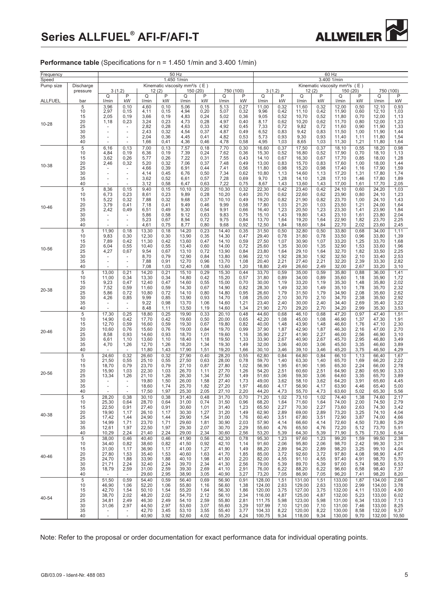

**Performance table** (Specifications for n = 1.450 1/min and 3.400 1/min)

| Frequency<br>Speed |                                                          |                                                                                |                                                                                  |                                                                      |                                                               | 50 Hz<br>1.450 1/min                                                 |                                                               |                                                                      |                                                              | 60 Hz<br>3.400 1/min                                                         |                                                              |                                                                              |                                                              |                                                                              |                                                              |                                                                              |                                                               |  |
|--------------------|----------------------------------------------------------|--------------------------------------------------------------------------------|----------------------------------------------------------------------------------|----------------------------------------------------------------------|---------------------------------------------------------------|----------------------------------------------------------------------|---------------------------------------------------------------|----------------------------------------------------------------------|--------------------------------------------------------------|------------------------------------------------------------------------------|--------------------------------------------------------------|------------------------------------------------------------------------------|--------------------------------------------------------------|------------------------------------------------------------------------------|--------------------------------------------------------------|------------------------------------------------------------------------------|---------------------------------------------------------------|--|
| Pump size          | Discharge<br>pressure                                    |                                                                                | 3(1.2)                                                                           |                                                                      | 12(2)                                                         | Kinematic viscosity mm <sup>2</sup> /s $(E)$                         | 150 (20)                                                      |                                                                      | 750 (100)                                                    |                                                                              | 3(1.2)                                                       |                                                                              | 12(2)                                                        | Kinematic viscosity mm <sup>2</sup> /s $(E)$                                 | 150 (20)                                                     |                                                                              | 750 (100)                                                     |  |
| <b>ALLFUEL</b>     | bar                                                      | Q<br>I/min                                                                     | P<br>kW                                                                          | Q<br>l/min                                                           | P<br>kW                                                       | Q<br>I/min                                                           | P<br>kW                                                       | Q<br>l/min                                                           | P<br>kW                                                      | Q<br>I/min                                                                   | P<br>kW                                                      | Q<br>I/min                                                                   | P<br>kW                                                      | Q<br>l/min                                                                   | P<br>kW                                                      | Q<br>I/min                                                                   | P<br>kW                                                       |  |
| 10-28              | 5<br>10<br>15<br>20<br>25<br>30<br>35<br>40              | 3,96<br>2,97<br>2,05<br>1,18                                                   | 0,10<br>0,15<br>0,19<br>0,23                                                     | 4,60<br>4,11<br>3,66<br>3,24<br>2,82<br>2,43<br>2,04<br>1,66         | 0, 10<br>0,15<br>0,19<br>0,23<br>0,28<br>0,32<br>0,36<br>0,41 | 5,06<br>4,94<br>4,83<br>4,73<br>4,63<br>4,54<br>4,45<br>4,36         | 0, 15<br>0,20<br>0,24<br>0,28<br>0,33<br>0,37<br>0,41<br>0,46 | 5,13<br>5,07<br>5,02<br>4,97<br>4,92<br>4,87<br>4,82<br>4,78         | 0,27<br>0,32<br>0,36<br>0,40<br>0,45<br>0,49<br>0,53<br>0,58 | 11,00<br>9,96<br>9,05<br>8,17<br>7,33<br>6,52<br>5,73<br>4,95                | 0,32<br>0,42<br>0,52<br>0,62<br>0,72<br>0,83<br>0,93<br>1,03 | 11,60<br>11,10<br>10,70<br>10,20<br>9,82<br>9,42<br>9,30<br>8,65             | 0,32<br>0,42<br>0,52<br>0,62<br>0,72<br>0,83<br>0,93<br>1,03 | 12,00<br>11,90<br>11,80<br>11,70<br>11,60<br>11,50<br>11,40<br>11,30         | 0,50<br>0,60<br>0,70<br>0,80<br>0,90<br>1,00<br>1,11<br>1,21 | 12,10<br>12,10<br>12,00<br>12,00<br>11,90<br>11,90<br>11,80<br>11,80         | 0,93<br>1,03<br>1,13<br>1,23<br>1,33<br>1,44<br>1,54<br>1,64  |  |
| 10-38              | 5<br>10<br>15<br>20<br>25<br>30<br>35<br>40              | 6,16<br>4,84<br>3,62<br>2,46<br>$\overline{a}$                                 | 0,13<br>0,19<br>0,26<br>0,32<br>$\overline{\phantom{a}}$                         | 7,00<br>6,36<br>5,77<br>5,20<br>4,66<br>4,14<br>3,62<br>3,12         | 0,13<br>0,19<br>0,26<br>0,32<br>0,39<br>0,45<br>0,52<br>0,58  | 7,57<br>7,39<br>7,22<br>7,06<br>6,91<br>6,76<br>6,61<br>6,47         | 0,18<br>0,24<br>0,31<br>0,37<br>0,44<br>0,50<br>0,57<br>0,63  | 7,70<br>7,62<br>7,55<br>7,48<br>7,41<br>7,34<br>7,28<br>7,22         | 0,30<br>0,36<br>0,43<br>0,49<br>0,56<br>0,62<br>0,69<br>0,75 | 16,60<br>15,30<br>14,10<br>13,00<br>11,80<br>10,80<br>9,70<br>8,67           | 0,37<br>0,52<br>0,67<br>0,83<br>0,98<br>1,13<br>1,28<br>1,43 | 17,50<br>16,80<br>16,30<br>15,70<br>15,20<br>14,60<br>14,10<br>13,60         | 0,37<br>0,52<br>0,67<br>0,83<br>0,98<br>1,13<br>1,28<br>1,43 | 18,10<br>17,90<br>17,70<br>17,60<br>17,40<br>17,20<br>17,10<br>17,00         | 0,55<br>0,70<br>0,85<br>1,00<br>1,16<br>1,31<br>1,46<br>1,61 | 18,20<br>18,10<br>18,00<br>18,00<br>17,90<br>17,80<br>17,80<br>17,70         | 0,98<br>1,13<br>1,28<br>1,44<br>1,59<br>1,74<br>1,89<br>2,05  |  |
| 10-46              | 5<br>10<br>15<br>20<br>25<br>30<br>35<br>40              | 8,36<br>6,73<br>5,22<br>3,79<br>2,42<br>$\overline{a}$                         | 0, 15<br>0,23<br>0,32<br>0,41<br>0,49<br>$\sim$                                  | 9,40<br>8,61<br>7,88<br>7,18<br>6,51<br>5,86<br>5,23<br>4,61         | 0, 15<br>0,23<br>0,32<br>0,41<br>0,49<br>0,58<br>0,67<br>0,75 | 10,10<br>9,89<br>9,68<br>9,49<br>9,30<br>9,12<br>8,94<br>8,77        | 0,20<br>0,28<br>0,37<br>0,46<br>0,54<br>0,63<br>0,72<br>0,80  | 10,30<br>10,20<br>10,10<br>9,99<br>9,91<br>9,83<br>9,75<br>9,68      | 0,32<br>0,40<br>0,49<br>0,58<br>0,66<br>0,75<br>0,84<br>0,92 | 22,30<br>20,70<br>19,20<br>17,80<br>16,40<br>15,10<br>13,70<br>12,50         | 0,42<br>0,62<br>0,82<br>1,03<br>1,23<br>1,43<br>1,64<br>1,84 | 23,40<br>22,60<br>21,90<br>21,20<br>20,50<br>19,80<br>19,20<br>18,60         | 0,42<br>0,62<br>0,82<br>1,03<br>1,23<br>1,43<br>1,64<br>1,84 | 24,10<br>23,90<br>23,70<br>23,50<br>23,30<br>23,10<br>22,90<br>22,70         | 0,60<br>0,80<br>1,00<br>1,21<br>1,41<br>1,61<br>1,82<br>2,02 | 24,20<br>24,10<br>24,10<br>24,00<br>23,90<br>23,80<br>23,70<br>23,60         | 1,03<br>1,23<br>1,43<br>1,64<br>1,84<br>2,04<br>2,25<br>2,45  |  |
| 10-56              | 5<br>10<br>15<br>20<br>25<br>30<br>35<br>40              | 11,90<br>9,83<br>7,89<br>6,04<br>4,27<br>$\overline{a}$<br>$\overline{a}$      | 0,18<br>0,30<br>0,42<br>0,55<br>0,67                                             | 13,30<br>12,30<br>11,30<br>10,40<br>9,54<br>8,70<br>7,88<br>7,08     | 0,18<br>0,30<br>0,42<br>0,55<br>0,67<br>0,79<br>0,91<br>1,03  | 14,20<br>13,90<br>13,60<br>13,40<br>13,10<br>12,90<br>12,70<br>12,40 | 0,23<br>0,35<br>0,47<br>0,60<br>0,72<br>0,84<br>0,96<br>1,08  | 14,40<br>14,30<br>14,10<br>14,00<br>13,90<br>13,80<br>13,70<br>13,60 | 0,35<br>0,47<br>0,59<br>0,72<br>0,84<br>0,96<br>1,08<br>1,20 | 31,50<br>29,40<br>27,50<br>25,60<br>23,80<br>22,10<br>20,40<br>18,80         | 0,50<br>0,78<br>1,07<br>1,35<br>1,64<br>1,92<br>2,21<br>2,49 | 32,80<br>31,80<br>30,90<br>30,00<br>29,10<br>28,30<br>27,40<br>26,60         | 0,50<br>0,78<br>1,07<br>1,35<br>1,64<br>1,92<br>2,21<br>2,49 | 33,80<br>33,50<br>33,20<br>32,90<br>32,70<br>32,50<br>32,20<br>32,00         | 0,68<br>0,96<br>1,25<br>1,53<br>1,82<br>2,10<br>2,39<br>2,67 | 34,00<br>33,80<br>33,70<br>33,60<br>33,50<br>33,40<br>33,30<br>33,20         | 1,11<br>1,39<br>1,68<br>1,96<br>2,25<br>2,53<br>2,82<br>3,10  |  |
| 20-38              | 5<br>10<br>15<br>20<br>25<br>30<br>35<br>40              | 13,00<br>11,00<br>9,23<br>7,52<br>5,86<br>4,26                                 | 0,21<br>0,34<br>0,47<br>0,59<br>0,72<br>0,85                                     | 14,20<br>13,30<br>12,40<br>11,60<br>10,80<br>9,99<br>9,22<br>8,48    | 0,21<br>0,34<br>0,47<br>0,59<br>0,72<br>0,85<br>0,98<br>1,11  | 15,10<br>14,80<br>14,60<br>14,30<br>14,10<br>13,90<br>13,70<br>13,50 | 0,29<br>0,42<br>0,55<br>0,67<br>0,80<br>0,93<br>1,06<br>1,19  | 15,30<br>15,20<br>15,00<br>14,90<br>14,80<br>14,70<br>14,60<br>14,60 | 0,44<br>0,57<br>0,70<br>0,82<br>0,95<br>1,08<br>1,21<br>1,34 | 33,70<br>31,80<br>30,00<br>28,30<br>26,60<br>25,00<br>23,40<br>21,90         | 0,59<br>0,89<br>1,19<br>1,49<br>1,79<br>2,10<br>2,40<br>2,70 | 35,00<br>34,00<br>33,20<br>32,30<br>31,50<br>30,70<br>30,00<br>29,20         | 0,59<br>0,89<br>1,19<br>1,49<br>1,79<br>2,10<br>2,40<br>2,70 | 35,80<br>35,60<br>35,30<br>35,10<br>34,90<br>34,70<br>34,40<br>34,20         | 0,88<br>1,18<br>1,48<br>1,78<br>2,08<br>2,38<br>2,69<br>2,99 | 36,00<br>35,90<br>35,80<br>35,70<br>35,60<br>35,50<br>35,40<br>35,30         | 1,41<br>1,72<br>2,02<br>2,32<br>2,62<br>2,92<br>3,22<br>3,53  |  |
| 20-46              | 5<br>10<br>15<br>20<br>25<br>30<br>35<br>40              | 17,30<br>14,90<br>12,70<br>10,60<br>8,58<br>6,61<br>4,70                       | 0,25<br>0,42<br>0,59<br>0,76<br>0,93<br>1,10<br>1,26<br>$\overline{\phantom{a}}$ | 18,80<br>17,70<br>16,60<br>15,60<br>14,60<br>13,60<br>12,70<br>11,80 | 0,25<br>0,42<br>0,59<br>0,76<br>0,93<br>1,10<br>1,26<br>1,43  | 19,90<br>19,60<br>19,30<br>19,00<br>18,70<br>18,40<br>18,20<br>17,90 | 0,33<br>0,50<br>0,67<br>0,84<br>1,01<br>1,18<br>1,34<br>1,51  | 20,10<br>20,00<br>19,80<br>19,70<br>19,60<br>19,50<br>19,30<br>19,20 | 0,48<br>0,65<br>0,82<br>0,99<br>1,16<br>1,33<br>1,49<br>1,66 | 44,60<br>42,20<br>40,00<br>37,90<br>35,90<br>33,90<br>32,00<br>30, 10        | 0,68<br>1,08<br>1,48<br>1,87<br>2,27<br>2,67<br>3,06<br>3,46 | 46,10<br>45,00<br>43,90<br>42,90<br>41,90<br>40,90<br>40,00<br>39,10         | 0,68<br>1,08<br>1,48<br>1,87<br>2,27<br>2,67<br>3,06<br>3,46 | 47,20<br>46,90<br>46,60<br>46,30<br>46,00<br>45,70<br>45,50<br>45,20         | 0,97<br>1,37<br>1,76<br>2,16<br>2,56<br>2,95<br>3,35<br>3,75 | 47,40<br>47,30<br>47,10<br>47,00<br>46,90<br>46,80<br>46,60<br>46,50         | 1,51<br>1,91<br>2,30<br>2,70<br>3,10<br>3,49<br>3,89<br>4,29  |  |
| 20-56              | 5<br>10<br>15<br>20<br>25<br>30<br>35<br>40              | 24,60<br>21,50<br>18,70<br>15,90<br>13,34                                      | 0,32<br>0,55<br>0,79<br>1,03<br>1,26                                             | 26,60<br>25,10<br>23,70<br>22,30<br>21,10<br>19,80<br>18,60<br>17,50 | 0,32<br>0,55<br>0,79<br>1,03<br>1,26<br>1,50<br>1,74<br>1,97  | 27,90<br>27,50<br>27,10<br>26,70<br>26,30<br>26,00<br>25,70<br>25,30 | 0,40<br>0,63<br>0,87<br>1, 11<br>1,34<br>1,58<br>1,82<br>2,05 | 28,20<br>28,00<br>27,80<br>27,70<br>27,50<br>27,40<br>27,20<br>27,10 | 0,55<br>0,78<br>1,02<br>1,26<br>1,49<br>1,73<br>1,97<br>2,20 | 62,80<br>59,70<br>56,90<br>54,20<br>51,60<br>49,00<br>46,60<br>44,20         | 0,84<br>1,40<br>1,95<br>2,51<br>3,06<br>3,62<br>4,17<br>4,73 | 64,80<br>63,30<br>61,90<br>60,60<br>59,30<br>58,10<br>56,90<br>55,70         | 0,84<br>1,40<br>1,95<br>2,51<br>3,06<br>3,62<br>4,17<br>4,73 | 66,10<br>65,70<br>65,30<br>64,90<br>64,60<br>64,20<br>63,90<br>63,60         | 1,13<br>1,69<br>2,24<br>2,80<br>3,35<br>3,91<br>4,46<br>5,02 | 66,40<br>66,20<br>66,00<br>65,90<br>65,70<br>65,60<br>65,40<br>65,30         | 1,67<br>2,22<br>2,78<br>3,33<br>3,89<br>4,45<br>5,00<br>5,56  |  |
| 40-38              | 5<br>10<br>15<br>20<br>25<br>30<br>35<br>40              | 28,20<br>25,30<br>22,50<br>19,90<br>17,42<br>14,99<br>12,61<br>10,29           | 0,38<br>0,64<br>0,91<br>1,17<br>1,44<br>1,71<br>1,97<br>2,24                     | 30,10<br>28,70<br>27,40<br>26,10<br>24,90<br>23,70<br>22,50<br>21,40 | 0,38<br>0,64<br>0,91<br>1,17<br>1,44<br>1,71<br>1,97<br>2,24  | 31,40<br>31,00<br>30,60<br>30,30<br>29,90<br>29,60<br>29,30<br>29,00 | 0,48<br>0,74<br>1,01<br>1,27<br>1,54<br>1,81<br>2,07<br>2,34  | 31,70<br>31,50<br>31,40<br>31,20<br>31,00<br>30,90<br>30,70<br>30,60 | 0,70<br>0,96<br>1,23<br>1,49<br>1,76<br>2,03<br>2,29<br>2,56 | 71,20<br>68,20<br>65,50<br>62,90<br>60,40<br>57,90<br>55,60<br>53,20         | 1,02<br>1,64<br>2,27<br>2,89<br>3,51<br>4,14<br>4,76<br>5,39 | 73,10<br>71,60<br>70,30<br>69,00<br>67,80<br>66,60<br>65,50<br>64,30         | 1,02<br>1,64<br>2,27<br>2,89<br>3,51<br>4,14<br>4,76<br>5,39 | 74,40<br>74,00<br>73,60<br>73,20<br>72,90<br>72,60<br>72,20<br>71,90         | 1,38<br>2,00<br>2,63<br>3,25<br>3,87<br>4,50<br>5,12<br>5,75 | 74,60<br>74,50<br>74,30<br>74,10<br>74,00<br>73,80<br>73,70<br>73,50         | 2,17<br>2,79<br>3,42<br>4,04<br>4,66<br>5,29<br>5,91<br>6,54  |  |
| 40-46              | $\overline{5}$<br>10<br>15<br>20<br>25<br>30<br>35<br>40 | 38,00<br>34,40<br>31,00<br>27,80<br>24,70<br>21,71<br>18,79<br>$\sim$          | 0,46<br>0,82<br>1,17<br>1,53<br>1,88<br>2,24<br>2,59<br>$\sim$                   | 40,40<br>38,60<br>36,90<br>35,40<br>33,90<br>32,40<br>31,00<br>29,60 | 0,46<br>0,82<br>1,17<br>1,53<br>1,88<br>2,24<br>2,59<br>2,95  | 41,90<br>41,50<br>41,00<br>40,60<br>40,10<br>39,70<br>39,30<br>38,90 | 0,56<br>0,92<br>1,27<br>1,63<br>1,98<br>2,34<br>2,69<br>3,05  | 42,30<br>42,10<br>41,90<br>41,70<br>41,50<br>41,30<br>41,10<br>40,90 | 0,78<br>1,14<br>1,49<br>1,85<br>2,20<br>2,56<br>2,91<br>3,27 | 95,30<br>91,60<br>88,20<br>85,00<br>82,00<br>79,00<br>76,00<br>73,20         | 1,23<br>2,06<br>2,89<br>3,72<br>4,55<br>5,39<br>6,22<br>7,05 | 97,60<br>95,80<br>94,20<br>92,60<br>91,10<br>89,70<br>88,20<br>86,90         | 1,23<br>2,06<br>2,89<br>3,72<br>4,55<br>5,39<br>6,22<br>7,05 | 99,20<br>98,70<br>98,20<br>97,80<br>97,40<br>97,00<br>96,60<br>96,20         | 1,59<br>2,42<br>3,25<br>4,08<br>4,91<br>5,74<br>6,58<br>7,41 | 99,50<br>99,30<br>99,10<br>98,90<br>98,70<br>98,50<br>98,40<br>98,20         | 2,38<br>3,21<br>4,04<br>4,87<br>5,70<br>6,53<br>7,37<br>8,20  |  |
| 40-54              | 5<br>10<br>15<br>20<br>25<br>30<br>35<br>40              | 51,50<br>46,90<br>42,70<br>38,70<br>34,81<br>31,06<br>$\overline{\phantom{a}}$ | 0,59<br>1,06<br>1,54<br>2,02<br>2,49<br>2,97<br>$\overline{\phantom{a}}$         | 54,40<br>52,20<br>50,10<br>48,20<br>46,30<br>44,50<br>42,70<br>40,90 | 0,59<br>1,06<br>1,54<br>2,02<br>2,49<br>2,97<br>3,45<br>3,92  | 56,40<br>55,80<br>55,20<br>54,70<br>54,10<br>53,60<br>53,10<br>52,60 | 0,69<br>1,16<br>1,64<br>2,12<br>2,59<br>3,07<br>3,55<br>4,02  | 56,90<br>56,60<br>56,30<br>56,10<br>55,80<br>55,60<br>55,40<br>55,20 | 0,91<br>1,38<br>1,86<br>2,34<br>2,81<br>3,29<br>3,77<br>4,24 | 128,00<br>124,00<br>120,00<br>116,00<br>111,75<br>107,99<br>104,33<br>100,75 | 1,51<br>2,63<br>3,75<br>4,87<br>5,98<br>7,10<br>8,22<br>9,34 | 131,00<br>129,00<br>127,00<br>125,00<br>123,00<br>121,00<br>120,00<br>118,00 | 1,51<br>2,63<br>3,75<br>4,87<br>5,98<br>7,10<br>8,22<br>9,34 | 133,00<br>133,00<br>132,00<br>132,00<br>131,00<br>131,00<br>130,00<br>130,00 | 1,87<br>2,99<br>4,11<br>5,23<br>6,34<br>7,46<br>8,58<br>9,70 | 134,00<br>134,00<br>133,00<br>133,00<br>133,00<br>133,00<br>132,00<br>132,00 | 2,66<br>3,78<br>4,90<br>6,02<br>7,13<br>8,25<br>9,37<br>10,50 |  |

Note: Refer to the proposal or order documentation for exact performance data for individual operating points.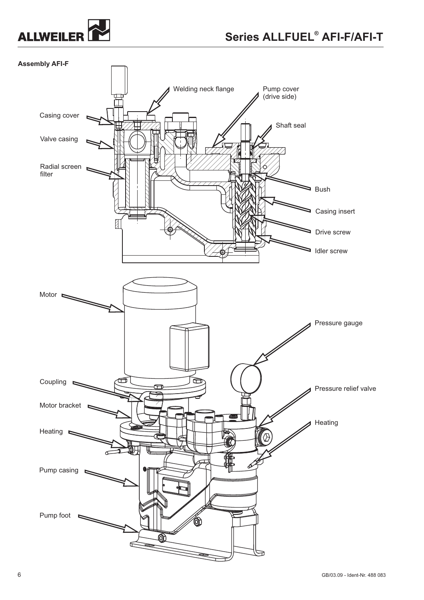

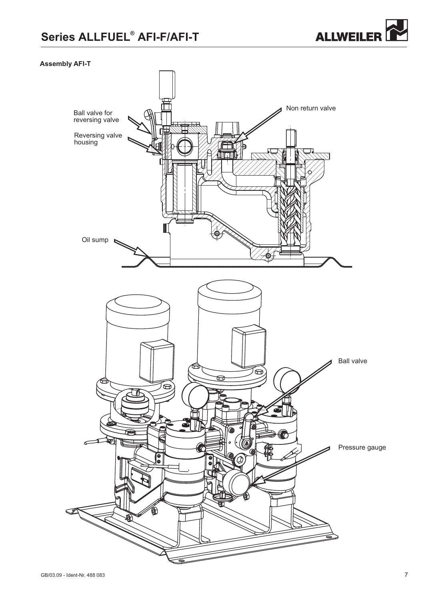

## **Assembly AFI-T**

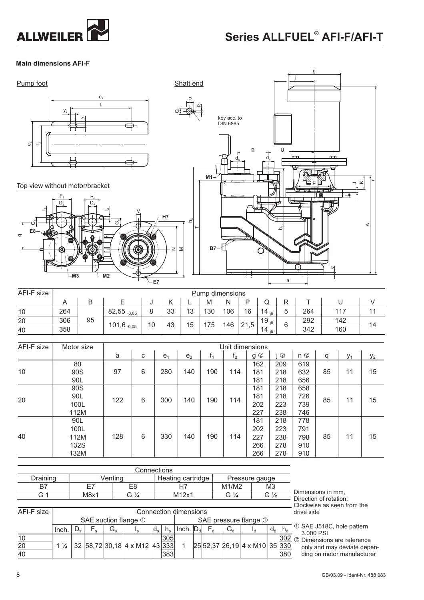

**M3**

**M2**

## **Main dimensions AFI-F**





| AFI-F size | Pump dimensions |    |                          |    |    |    |     |     |    |            |   |     |     |    |    |     |          |            |   |     |     |    |
|------------|-----------------|----|--------------------------|----|----|----|-----|-----|----|------------|---|-----|-----|----|----|-----|----------|------------|---|-----|-----|----|
|            |                 | B  |                          | ັບ |    |    | M   | N   | D  | Q          | ₽ |     |     |    |    |     |          |            |   |     |     |    |
| 10         | 264             |    | $82,55$ <sub>-0,05</sub> |    | 33 | 13 | 130 | 106 | 16 | 14 $_{16}$ | 5 | 264 | 117 |    |    |     |          |            |   |     |     |    |
| 20         | 306             | 95 |                          |    |    |    |     |     |    |            |   | 10  | 43  | 15 | 75 | 146 | ,5<br>21 | 19 $_{16}$ | 6 | 292 | 142 | 14 |
| 40         | 358             |    | 101,6 $_{-0,05}$         |    |    |    |     |     |    | 14 $_{16}$ |   | 342 | 160 |    |    |     |          |            |   |     |     |    |

z ⋝

**E7**

| AFI-F size | Motor size |     |   |                |                |       |                |                                                                                                                                                             |                |       |          |       |       |
|------------|------------|-----|---|----------------|----------------|-------|----------------|-------------------------------------------------------------------------------------------------------------------------------------------------------------|----------------|-------|----------|-------|-------|
|            |            | a   | C | e <sub>1</sub> | e <sub>2</sub> | $t_1$ | t <sub>2</sub> | $g$ $\oslash$                                                                                                                                               | $^{\circledR}$ | $n$ ② | q        | $y_1$ | $y_2$ |
|            | 80         |     |   |                |                |       |                | 162                                                                                                                                                         | 209            | 619   |          |       |       |
| 10         | 90S        | 97  | 6 | 280            | 140            | 190   | 114            | 181                                                                                                                                                         | 218            | 632   | 85<br>11 |       | 15    |
|            | 90L        |     |   |                |                |       |                | Unit dimensions<br>181<br>218<br>218<br>181<br>181<br>218<br>202<br>223<br>227<br>238<br>218<br>181<br>202<br>223<br>227<br>238<br>278<br>266<br>266<br>278 | 656            |       |          |       |       |
|            | 90S        | 122 |   |                |                |       |                |                                                                                                                                                             |                | 658   |          |       |       |
| 20         | 90L        |     | 6 | 300            | 140            | 190   | 114            |                                                                                                                                                             |                | 726   | 85       | 11    | 15    |
|            | 100L       |     |   |                |                |       |                |                                                                                                                                                             |                | 739   |          |       |       |
|            | 112M       |     |   |                |                |       |                |                                                                                                                                                             |                | 746   |          |       |       |
|            | 90L        |     |   |                |                |       |                |                                                                                                                                                             |                | 778   |          |       |       |
|            | 100L       |     |   |                |                |       |                |                                                                                                                                                             |                | 791   |          |       |       |
| 40         | 112M       | 128 | 6 | 330            | 140            | 190   | 114            |                                                                                                                                                             |                | 798   | 85       | 11    | 15    |
|            | 132S       |     |   |                |                |       |                |                                                                                                                                                             |                | 910   |          |       |       |
|            | 132M       |     |   |                |                |       |                |                                                                                                                                                             |                | 910   |          |       |       |

|            | Connections |                                               |    |         |    |             |                   |       |  |    |                         |                |                 |       |    |   |
|------------|-------------|-----------------------------------------------|----|---------|----|-------------|-------------------|-------|--|----|-------------------------|----------------|-----------------|-------|----|---|
| Draining   |             |                                               |    | Venting |    |             | Heating cartridge |       |  |    |                         | Pressure gauge |                 |       |    |   |
| B7         |             |                                               |    |         | E8 |             |                   |       |  |    | M1/M2                   |                | MЗ              |       |    |   |
| G 1        |             | M8x1<br>G $\frac{1}{4}$                       |    |         |    |             |                   | M12x1 |  |    | G $\frac{1}{4}$         |                | G $\frac{1}{2}$ |       |    | D |
|            |             |                                               |    |         |    |             |                   |       |  |    |                         |                |                 |       |    |   |
| AFI-F size |             | Connection dimensions                         |    |         |    |             |                   |       |  |    |                         |                |                 |       | dı |   |
|            |             | SAE pressure flange 1<br>SAE suction flange 1 |    |         |    |             |                   |       |  |    |                         |                |                 |       |    |   |
|            | Inch        |                                               | Fs | G,      | Ιs | $d_{\rm s}$ | $n_{\rm s}$       | Inch. |  | F, | $\mathrm{G}^\mathrm{u}$ |                |                 | $d_d$ |    | Œ |

10 J J J J J 305 J J J J 302 20 1 ¼ 32 58,72 30,18 4 x M12 43 333 1 25 52,37 26,19 4 x M10 35 330

383

 $1\frac{1}{4}$  32 58,72 30,18 4 x M12 43

imensions in mm, Direction of rotation: Clockwise as seen from the rive side

10 SAE J518C, hole pattern 3.000 PSI

380

 $\overline{302}$   $\circ$  Dimensions are reference only and may deviate depending on motor manufacturer

40

 $^{\sigma}$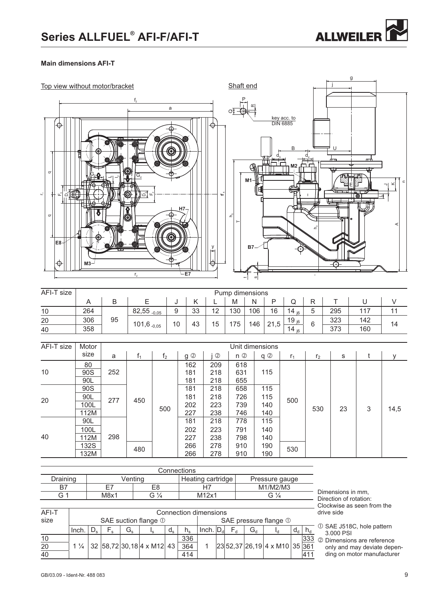

## **Main dimensions AFI-T**



| AFI-T size | Pump dimensions |    |                          |    |    |    |     |     |          |                   |        |     |     |    |
|------------|-----------------|----|--------------------------|----|----|----|-----|-----|----------|-------------------|--------|-----|-----|----|
|            |                 | D  |                          | u  |    |    | M   | Ν   |          | w                 |        |     |     |    |
| 10         | 264             |    | $82,55$ <sub>-0,05</sub> | ч  | 33 | 12 | 130 | 106 | 16       | 14<br>i6          | -<br>5 | 295 | 117 |    |
| 20         | 306             | 95 |                          | 10 | 43 | 15 | 75  | 146 | ,5<br>21 | 19 <sub>i6</sub>  |        | 323 | 142 | 14 |
| 40         | 358             |    | $101,6$ -0,05            |    |    |    |     |     |          | 14 $\overline{5}$ | ь      | 373 | 160 |    |

| AFI-T size | Motor | Unit dimensions |     |                |     |                |       |     |                |                |    |   |      |
|------------|-------|-----------------|-----|----------------|-----|----------------|-------|-----|----------------|----------------|----|---|------|
|            | size  | a               | t,  | f <sub>2</sub> | g 2 | $^{\circledR}$ | $n$ ② | q 2 | r <sub>1</sub> | r <sub>2</sub> | s  |   | у    |
| 10         | 80    | 252             | 450 | 500            | 162 | 209            | 618   |     |                | 530            | 23 | 3 |      |
|            | 90S   |                 |     |                | 181 | 218            | 631   | 115 |                |                |    |   |      |
|            | 90L   |                 |     |                | 181 | 218            | 655   |     |                |                |    |   |      |
| 20         | 90S   | 277             |     |                | 181 | 218            | 658   | 115 | 500<br>530     |                |    |   |      |
|            | 90L   |                 |     |                | 181 | 218            | 726   | 115 |                |                |    |   | 14,5 |
|            | 100L  |                 |     |                | 202 | 223            | 739   | 140 |                |                |    |   |      |
|            | 112M  |                 |     |                | 227 | 238            | 746   | 140 |                |                |    |   |      |
| 40         | 90L   | 298             |     |                | 181 | 218            | 778   | 115 |                |                |    |   |      |
|            | 100L  |                 |     |                | 202 | 223            | 791   | 140 |                |                |    |   |      |
|            | 12M   |                 |     |                | 227 | 238            | 798   | 140 |                |                |    |   |      |
|            | 132S  |                 | 480 |                | 266 | 278            | 910   | 190 |                |                |    |   |      |
|            | 132M  |                 |     |                | 266 | 278            | 910   | 190 |                |                |    |   |      |

 $\mathbb O$   $\qquad \qquad$  SAE pressure flange  $\mathbb O$ 

| Connections |      |         |                   |                |  |  |  |
|-------------|------|---------|-------------------|----------------|--|--|--|
| Draining    |      | ∕entina | Heating cartridge | Pressure gauge |  |  |  |
| R7          | ET.  | E8      |                   | M1/M2/M3       |  |  |  |
| G 1         | M8x1 | G       | M12x1             | G ½            |  |  |  |
|             |      |         |                   |                |  |  |  |

10 | | | | | <u>| | 336 |</u> | | | | | | | | | | 333 20 114 32 58,72 30,18 4 x M12 43 364 1 23 52,37 26,19 4 x M10 35 361

SAE suction flange  $\mathbb O$ 

1 ¼ 32 58,72 30,18 4 x M12 43

Connection dimensions

Inch. Ds Fs Gs Is ds hs Inch. Dd Fd Gd Id dd hd

414

Dimensions in mm, Direction of rotation: Clockwise as seen from the drive side

 $\overline{O}$  SAE J518C, hole pattern 3.000 PSI

411

Dimensions are reference only and may deviate depending on motor manufacturer

AFI-T size

40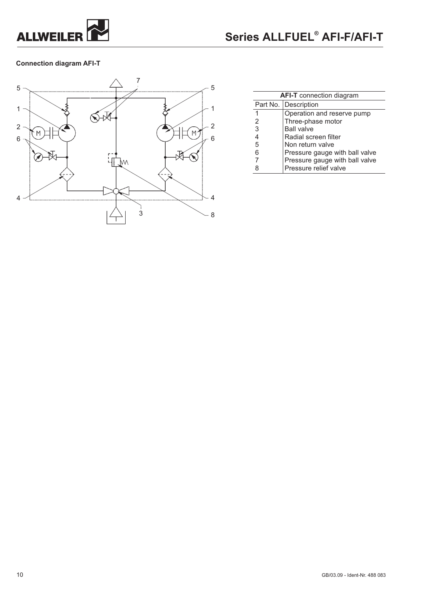

## **Connection diagram AFI-T**



| <b>AFI-T</b> connection diagram |                                |  |  |  |
|---------------------------------|--------------------------------|--|--|--|
|                                 | Part No. Description           |  |  |  |
|                                 | Operation and reserve pump     |  |  |  |
| 2                               | Three-phase motor              |  |  |  |
| 3                               | <b>Ball valve</b>              |  |  |  |
| 4                               | Radial screen filter           |  |  |  |
| 5                               | Non return valve               |  |  |  |
| 6                               | Pressure gauge with ball valve |  |  |  |
|                                 | Pressure gauge with ball valve |  |  |  |
| 8                               | Pressure relief valve          |  |  |  |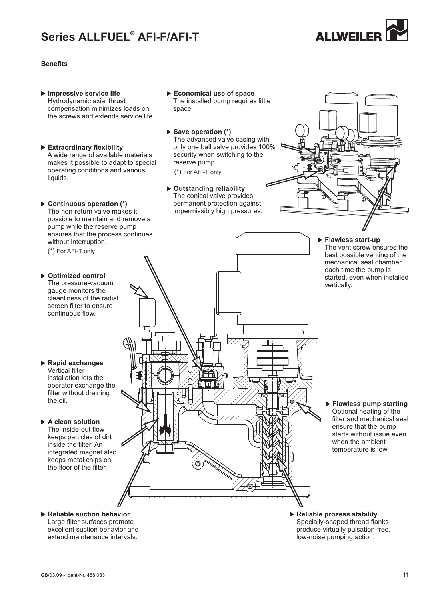

## **Benefits**

- **Impressive service life** Hydrodynamic axial thrust compensation minimizes loads on the screws and extends service life.
- **Extraordinary flexibility** A wide range of available materials makes it possible to adapt to special operating conditions and various liquids.
- ▶ Continuous operation (\*) The non-return valve makes it possible to maintain and remove a pump while the reserve pump ensures that the process continues without interruption.

(\*) For AFI-T only

- **Optimized control** The pressure-vacuum gauge monitors the cleanliness of the radial screen filter to ensure continuous flow.
- **Rapid exchanges** Vertical filter installation lets the operator exchange the filter without draining the oil.

#### - **A clean solution**

The inside-out flow keeps particles of dirt inside the filter. An integrated magnet also keeps metal chips on the floor of the filter.

- **Economical use of space** The installed pump requires little space.
- ▶ Save operation (\*) The advanced valve casing with only one ball valve provides 100% security when switching to the reserve pump.

(\*) For AFI-T only

▶ Outstanding reliability The conical valve provides permanent protection against impermissibly high pressures.

mı

- **Flawless start-up** The vent screw ensures the best possible venting of the mechanical seal chamber each time the pump is started, even when installed vertically.

- **Flawless pump starting** Optional heating of the filter and mechanical seal ensure that the pump starts without issue even when the ambient temperature is low.

- -**Reliable suction behavior** -Large filter surfaces promote excellent suction behavior and extend maintenance intervals.
- **Reliable prozess stability** Specially-shaped thread flanks produce virtually pulsation-free, low-noise pumping action.